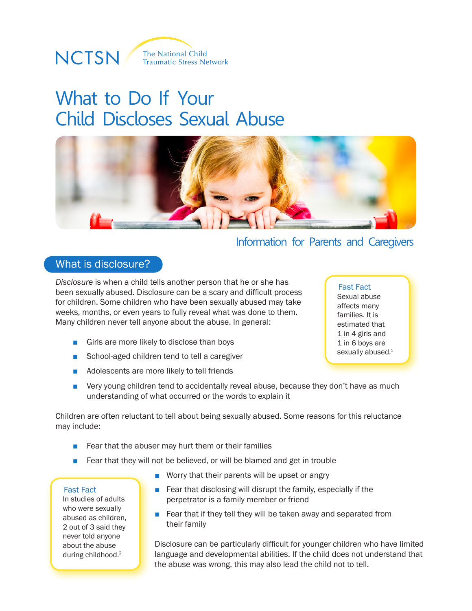

# What to Do If Your Child Discloses Sexual Abuse



### Information for Parents and Caregivers

### What is disclosure?

*Disclosure* is when a child tells another person that he or she has been sexually abused. Disclosure can be a scary and difficult process for children. Some children who have been sexually abused may take weeks, months, or even years to fully reveal what was done to them. Many children never tell anyone about the abuse. In general:

- Girls are more likely to disclose than boys
- School-aged children tend to tell a caregiver
- Adolescents are more likely to tell friends
- Fast Fact Sexual abuse affects many families. It is estimated that 1 in 4 girls and 1 in 6 boys are sexually abused.<sup>1</sup>
- Very young children tend to accidentally reveal abuse, because they don't have as much understanding of what occurred or the words to explain it

Children are often reluctant to tell about being sexually abused. Some reasons for this reluctance may include:

- Fear that the abuser may hurt them or their families
- Fear that they will not be believed, or will be blamed and get in trouble

#### Fast Fact

In studies of adults who were sexually abused as children, 2 out of 3 said they never told anyone about the abuse during childhood.2

- Worry that their parents will be upset or angry
- Fear that disclosing will disrupt the family, especially if the perpetrator is a family member or friend
- Fear that if they tell they will be taken away and separated from their family

Disclosure can be particularly difficult for younger children who have limited language and developmental abilities. If the child does not understand that the abuse was wrong, this may also lead the child not to tell.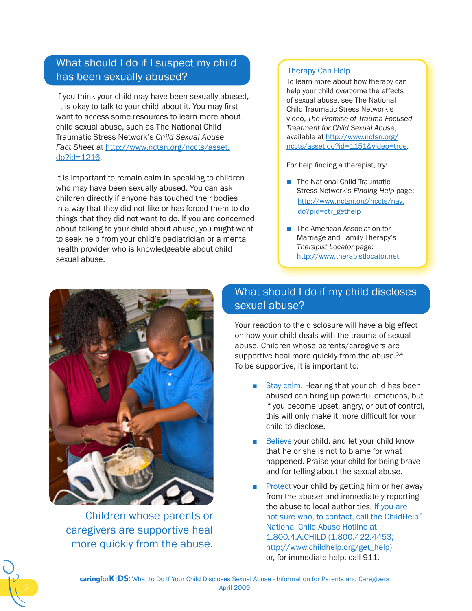## What should I do if I suspect my child has been sexually abused?

If you think your child may have been sexually abused, it is okay to talk to your child about it. You may first want to access some resources to learn more about child sexual abuse, such as The National Child Traumatic Stress Network's *Child Sexual Abuse Fact Sheet* at [http://www.nctsn.org/nccts/asset.](http://www.nctsn.org/nccts/asset.do?id=1216) [do?id=1216.](http://www.nctsn.org/nccts/asset.do?id=1216)

It is important to remain calm in speaking to children who may have been sexually abused. You can ask children directly if anyone has touched their bodies in a way that they did not like or has forced them to do things that they did not want to do. If you are concerned about talking to your child about abuse, you might want to seek help from your child's pediatrician or a mental health provider who is knowledgeable about child sexual abuse.

#### Therapy Can Help

To learn more about how therapy can help your child overcome the effects of sexual abuse, see The National Child Traumatic Stress Network's video, *The Promise of Trauma-Focused Treatment for Child Sexual Abuse*, available at [http://www.nctsn.org/](http://www.nctsn.org/nccts/asset.do?id=1151&video=true) [nccts/asset.do?id=1151&video=true.](http://www.nctsn.org/nccts/asset.do?id=1151&video=true)

For help finding a therapist, try:

- The National Child Traumatic Stress Network's *Finding Help* page: [http://www.nctsn.org/nccts/nav.](http://www.nctsn.org/nccts/nav.do?pid=ctr_gethelp) [do?pid=ctr\\_gethelp](http://www.nctsn.org/nccts/nav.do?pid=ctr_gethelp)
- The American Association for Marriage and Family Therapy's *Therapist Locator* page: <http://www.therapistlocator.net>



Children whose parents or caregivers are supportive heal more quickly from the abuse.

# What should I do if my child discloses sexual abuse?

Your reaction to the disclosure will have a big effect on how your child deals with the trauma of sexual abuse. Children whose parents/caregivers are supportive heal more quickly from the abuse.<sup>3,4</sup> To be supportive, it is important to:

- Stay calm. Hearing that your child has been abused can bring up powerful emotions, but if you become upset, angry, or out of control, this will only make it more difficult for your child to disclose.
- Believe your child, and let your child know that he or she is not to blame for what happened. Praise your child for being brave and for telling about the sexual abuse.
- **Protect your child by getting him or her away** from the abuser and immediately reporting the abuse to local authorities. If you are not sure who, to contact, call the ChildHelp® National Child Abuse Hotline at 1.800.4.A.CHILD (1.800.422.4453; [http://www.childhelp.org/get\\_help\)](http://www.childhelp.org/get_help) or, for immediate help, call 911.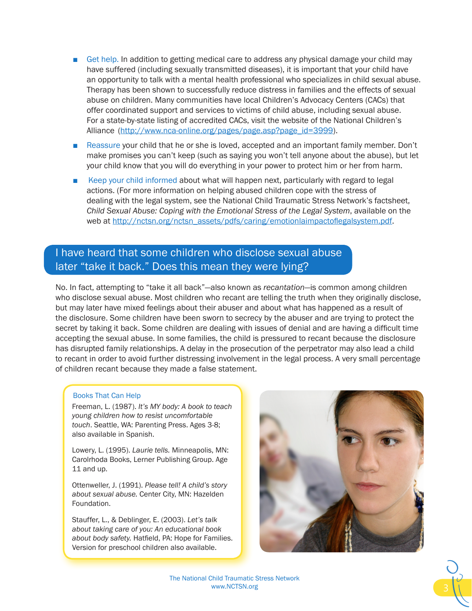- Get help. In addition to getting medical care to address any physical damage your child may have suffered (including sexually transmitted diseases), it is important that your child have an opportunity to talk with a mental health professional who specializes in child sexual abuse. Therapy has been shown to successfully reduce distress in families and the effects of sexual abuse on children. Many communities have local Children's Advocacy Centers (CACs) that offer coordinated support and services to victims of child abuse, including sexual abuse. For a state-by-state listing of accredited CACs, visit the website of the National Children's Alliance [\(http://www.nca-online.org/pages/page.asp?page\\_id=3999](http://www.nca-online.org/pages/page.asp?page_id=3999)).
- Reassure your child that he or she is loved, accepted and an important family member. Don't make promises you can't keep (such as saying you won't tell anyone about the abuse), but let your child know that you will do everything in your power to protect him or her from harm.
- Keep your child informed about what will happen next, particularly with regard to legal actions. (For more information on helping abused children cope with the stress of dealing with the legal system, see the National Child Traumatic Stress Network's factsheet, *Child Sexual Abuse: Coping with the Emotional Stress of the Legal System*, available on the web at [http://nctsn.org/nctsn\\_assets/pdfs/caring/emotionlaimpactoflegalsystem.pd](http://nctsn.org/nctsn_assets/pdfs/caring/emotionlaimpactoflegalsystem.pdf)f.

### I have heard that some children who disclose sexual abuse later "take it back." Does this mean they were lying?

No. In fact, attempting to "take it all back"—also known as *recantation*—is common among children who disclose sexual abuse. Most children who recant are telling the truth when they originally disclose, but may later have mixed feelings about their abuser and about what has happened as a result of the disclosure. Some children have been sworn to secrecy by the abuser and are trying to protect the secret by taking it back. Some children are dealing with issues of denial and are having a difficult time accepting the sexual abuse. In some families, the child is pressured to recant because the disclosure has disrupted family relationships. A delay in the prosecution of the perpetrator may also lead a child to recant in order to avoid further distressing involvement in the legal process. A very small percentage of children recant because they made a false statement.

#### Books That Can Help

Freeman, L. (1987). *It's MY body: A book to teach young children how to resist uncomfortable touch*. Seattle, WA: Parenting Press. Ages 3-8; also available in Spanish.

Lowery, L. (1995). *Laurie tells.* Minneapolis, MN: Carolrhoda Books, Lerner Publishing Group. Age 11 and up.

Ottenweller, J. (1991). *Please tell! A child's story about sexual abuse.* Center City, MN: Hazelden Foundation.

Stauffer, L., & Deblinger, E. (2003). *Let's talk about taking care of you: An educational book about body safety.* Hatfield, PA: Hope for Families. Version for preschool children also available.



The National Child Traumatic Stress Network www.NCTSN.org